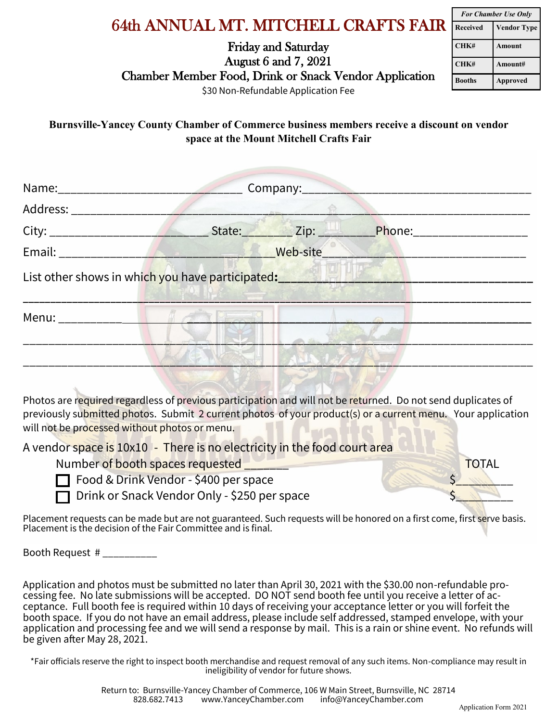## 64th ANNUAL MT. MITCHELL CRAFTS FAIR

Friday and Saturday August 6 and 7, 2021 Chamber Member Food, Drink or Snack Vendor Application

| <b>For Chamber Use Only</b> |                    |  |
|-----------------------------|--------------------|--|
| <b>Received</b>             | <b>Vendor Type</b> |  |
| CHK#                        | Amount             |  |
| CHK#                        | Amount#            |  |
| Booths                      | <b>Approved</b>    |  |

\$30 Non-Refundable Application Fee

**Burnsville-Yancey County Chamber of Commerce business members receive a discount on vendor space at the Mount Mitchell Crafts Fair**

| Address: __________ | $\overline{\phantom{a}}$                                            |  |  |
|---------------------|---------------------------------------------------------------------|--|--|
|                     | Phone:______________                                                |  |  |
|                     |                                                                     |  |  |
|                     | List other shows in which you have participated: <b>Exercise 19</b> |  |  |
|                     |                                                                     |  |  |
| Menu: ___________   |                                                                     |  |  |

Photos are required regardless of previous participation and will not be returned. Do not send duplicates of previously submitted photos. Submit 2 current photos of your product(s) or a current menu. Your application will not be processed without photos or menu.

A vendor space is 10x10 - There is no electricity in the food court area

Number of booth spaces requested **TOTAL** 

| Food & Drink Vendor - \$400 per space |  |
|---------------------------------------|--|
|---------------------------------------|--|

Drink or Snack Vendor Only - \$250 per space

Placement requests can be made but are not guaranteed. Such requests will be honored on a first come, first serve basis. Placement is the decision of the Fair Committee and is final.

Booth Request # \_\_\_\_\_\_\_\_\_\_

Application and photos must be submitted no later than April 30, 2021 with the \$30.00 non-refundable processing fee. No late submissions will be accepted. DO NOT send booth fee until you receive a letter of acceptance. Full booth fee is required within 10 days of receiving your acceptance letter or you will forfeit the booth space. If you do not have an email address, please include self addressed, stamped envelope, with your application and processing fee and we will send a response by mail. This is a rain or shine event. No refunds will be given after May 28, 2021.

\*Fair officials reserve the right to inspect booth merchandise and request removal of any such items. Non-compliance may result in ineligibility of vendor for future shows.